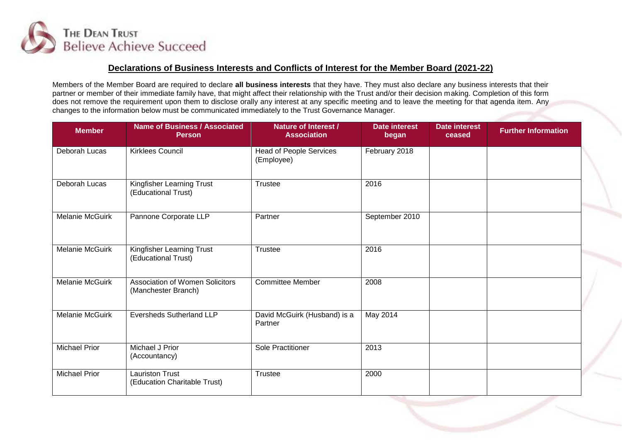

## **Declarations of Business Interests and Conflicts of Interest for the Member Board (2021-22)**

Members of the Member Board are required to declare **all business interests** that they have. They must also declare any business interests that their partner or member of their immediate family have, that might affect their relationship with the Trust and/or their decision making. Completion of this form does not remove the requirement upon them to disclose orally any interest at any specific meeting and to leave the meeting for that agenda item. Any changes to the information below must be communicated immediately to the Trust Governance Manager.

| <b>Member</b>          | <b>Name of Business / Associated</b><br><b>Person</b>         | <b>Nature of Interest /</b><br><b>Association</b> | <b>Date interest</b><br>began | <b>Date interest</b><br>ceased | <b>Further Information</b> |
|------------------------|---------------------------------------------------------------|---------------------------------------------------|-------------------------------|--------------------------------|----------------------------|
| Deborah Lucas          | <b>Kirklees Council</b>                                       | Head of People Services<br>(Employee)             | February 2018                 |                                |                            |
| Deborah Lucas          | Kingfisher Learning Trust<br>(Educational Trust)              | <b>Trustee</b>                                    | 2016                          |                                |                            |
| <b>Melanie McGuirk</b> | Pannone Corporate LLP                                         | Partner                                           | September 2010                |                                |                            |
| Melanie McGuirk        | Kingfisher Learning Trust<br>(Educational Trust)              | <b>Trustee</b>                                    | 2016                          |                                |                            |
| <b>Melanie McGuirk</b> | <b>Association of Women Solicitors</b><br>(Manchester Branch) | <b>Committee Member</b>                           | 2008                          |                                |                            |
| <b>Melanie McGuirk</b> | <b>Eversheds Sutherland LLP</b>                               | David McGuirk (Husband) is a<br>Partner           | May 2014                      |                                |                            |
| <b>Michael Prior</b>   | Michael J Prior<br>(Accountancy)                              | Sole Practitioner                                 | 2013                          |                                |                            |
| <b>Michael Prior</b>   | <b>Lauriston Trust</b><br>(Education Charitable Trust)        | <b>Trustee</b>                                    | 2000                          |                                |                            |